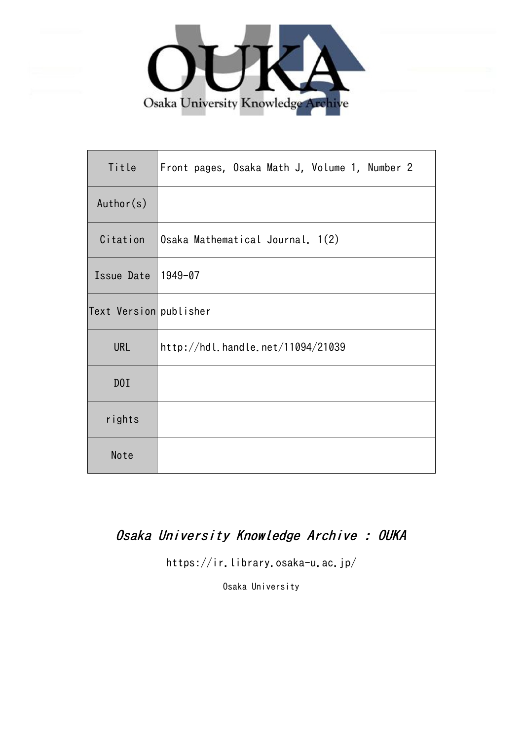

| Title                  | Front pages, Osaka Math J, Volume 1, Number 2 |
|------------------------|-----------------------------------------------|
| Author(s)              |                                               |
| Citation               | Osaka Mathematical Journal. 1(2)              |
| Issue Date             | 1949-07                                       |
| Text Version publisher |                                               |
| <b>URL</b>             | http://hdl.handle.net/11094/21039             |
| DOI                    |                                               |
| rights                 |                                               |
| Note                   |                                               |

### Osaka University Knowledge Archive : OUKA

https://ir.library.osaka-u.ac.jp/

Osaka University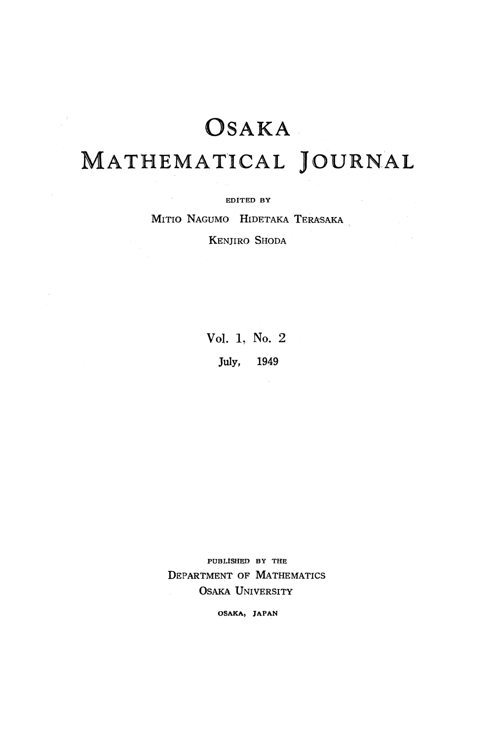# **OSAKA**

 $\frac{d}{dt} \left( \frac{d}{dt} \right) = \frac{1}{2\pi} \left( \frac{d}{dt} \right)$ 

### MATHEMATICAL JOURNAL

EDITED **BY**

MITIO NAGUMO HIDETAKA TERASAKA

KENJIRO SHODA

Vol. 1, No. 2 July, 1949

PUBLISHED BY THE DEPARTMENT OF MATHEMATICS OSAKA UNIVERSITY

**OSAKA, JAPAN**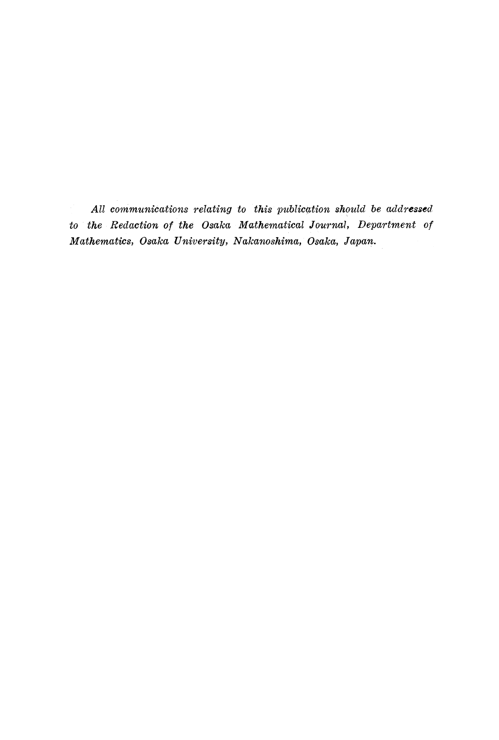*All communications relating to this publication should be addressed to the Redaction of the Osaka Mathematical Journal, Department of Mathematics, Osaka University, Nakanoshίma, Osaka, Japan.*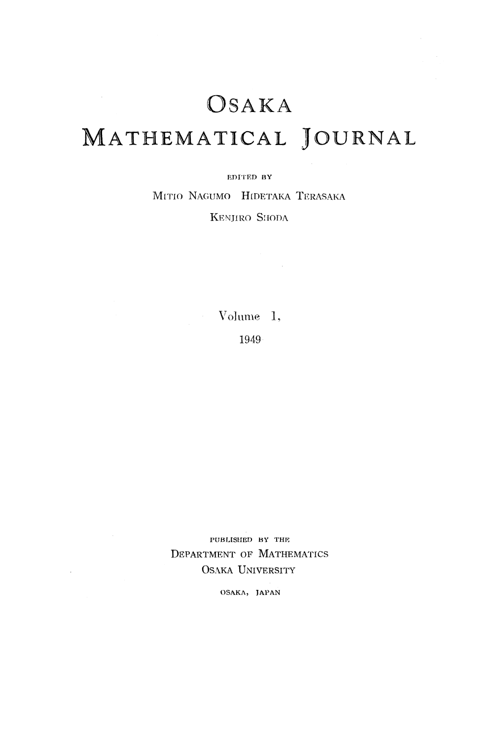## OSAKA MATHEMATICAL JOURNAL

#### **EDITED BY**

MITIO NAGUMO HIDETAKA TERASAKA KENJIRO SIIODA

> Volume 1, 1949

**PUBLISHED BY THE** DEPARTMENT OF MATHEMATICS OSAKA UNIVERSITY

 $\sim$ 

**OSAKA, JAPAN**